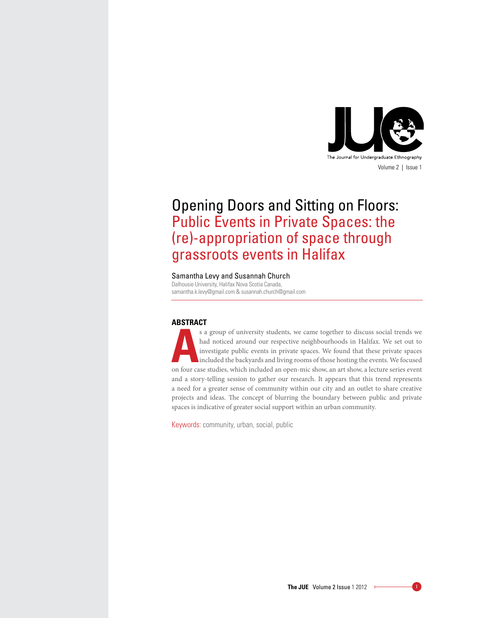

# Opening Doors and Sitting on Floors: Public Events in Private Spaces: the (re)-appropriation of space through grassroots events in Halifax

# Samantha Levy and Susannah Church

Dalhousie University, Halifax Nova Scotia Canada, samantha.k.levy@gmail.com & susannah.church@gmail.com

## **Abstract**

s a group of university students, we came together to discuss social trends we had noticed around our respective neighbourhoods in Halifax. We set out to investigate public events in private spaces. We found that these pri had noticed around our respective neighbourhoods in Halifax. We set out to investigate public events in private spaces. We found that these private spaces included the backyards and living rooms of those hosting the events. We focused on four case studies, which included an open-mic show, an art show, a lecture series event and a story-telling session to gather our research. It appears that this trend represents a need for a greater sense of community within our city and an outlet to share creative projects and ideas. The concept of blurring the boundary between public and private spaces is indicative of greater social support within an urban community.

Keywords: community, urban, social, public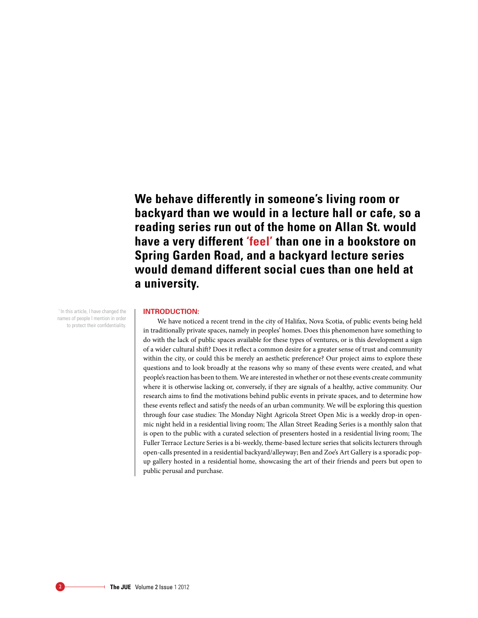**We behave differently in someone's living room or backyard than we would in a lecture hall or cafe, so a reading series run out of the home on Allan St. would have a very different 'feel' than one in a bookstore on Spring Garden Road, and a backyard lecture series would demand different social cues than one held at a university.**

<sup>1</sup> In this article, I have changed the names of people I mention in order to protect their confidentiality.

#### **Introduction:**

We have noticed a recent trend in the city of Halifax, Nova Scotia, of public events being held in traditionally private spaces, namely in peoples' homes. Does this phenomenon have something to do with the lack of public spaces available for these types of ventures, or is this development a sign of a wider cultural shift? Does it reflect a common desire for a greater sense of trust and community within the city, or could this be merely an aesthetic preference? Our project aims to explore these questions and to look broadly at the reasons why so many of these events were created, and what people's reaction has been to them. We are interested in whether or not these events create community where it is otherwise lacking or, conversely, if they are signals of a healthy, active community. Our research aims to find the motivations behind public events in private spaces, and to determine how these events reflect and satisfy the needs of an urban community. We will be exploring this question through four case studies: The Monday Night Agricola Street Open Mic is a weekly drop-in openmic night held in a residential living room; The Allan Street Reading Series is a monthly salon that is open to the public with a curated selection of presenters hosted in a residential living room; The Fuller Terrace Lecture Series is a bi-weekly, theme-based lecture series that solicits lecturers through open-calls presented in a residential backyard/alleyway; Ben and Zoe's Art Gallery is a sporadic popup gallery hosted in a residential home, showcasing the art of their friends and peers but open to public perusal and purchase.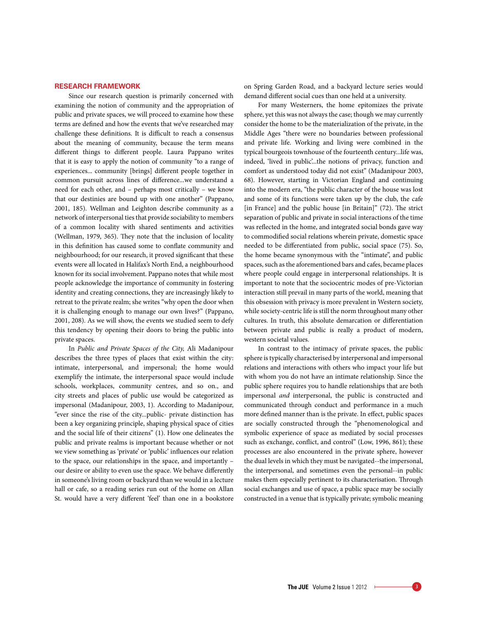## **Research Framework**

Since our research question is primarily concerned with examining the notion of community and the appropriation of public and private spaces, we will proceed to examine how these terms are defined and how the events that we've researched may challenge these definitions. It is difficult to reach a consensus about the meaning of community, because the term means different things to different people. Laura Pappano writes that it is easy to apply the notion of community "to a range of experiences... community [brings] different people together in common pursuit across lines of difference...we understand a need for each other, and – perhaps most critically – we know that our destinies are bound up with one another" (Pappano, 2001, 185). Wellman and Leighton describe community as a network of interpersonal ties that provide sociability to members of a common locality with shared sentiments and activities (Wellman, 1979, 365). They note that the inclusion of locality in this definition has caused some to conflate community and neighbourhood; for our research, it proved significant that these events were all located in Halifax's North End, a neighbourhood known for its social involvement. Pappano notes that while most people acknowledge the importance of community in fostering identity and creating connections, they are increasingly likely to retreat to the private realm; she writes "why open the door when it is challenging enough to manage our own lives?" (Pappano, 2001, 208). As we will show, the events we studied seem to defy this tendency by opening their doors to bring the public into private spaces.

In *Public and Private Spaces of the City,* Ali Madanipour describes the three types of places that exist within the city: intimate, interpersonal, and impersonal; the home would exemplify the intimate, the interpersonal space would include schools, workplaces, community centres, and so on., and city streets and places of public use would be categorized as impersonal (Madanipour, 2003, 1). According to Madanipour, "ever since the rise of the city...public- private distinction has been a key organizing principle, shaping physical space of cities and the social life of their citizens" (1). How one delineates the public and private realms is important because whether or not we view something as 'private' or 'public' influences our relation to the space, our relationships in the space, and importantly – our desire or ability to even use the space. We behave differently in someone's living room or backyard than we would in a lecture hall or cafe, so a reading series run out of the home on Allan St. would have a very different 'feel' than one in a bookstore on Spring Garden Road, and a backyard lecture series would demand different social cues than one held at a university.

For many Westerners, the home epitomizes the private sphere, yet this was not always the case; though we may currently consider the home to be the materialization of the private, in the Middle Ages "there were no boundaries between professional and private life. Working and living were combined in the typical bourgeois townhouse of the fourteenth century...life was, indeed, 'lived in public'...the notions of privacy, function and comfort as understood today did not exist" (Madanipour 2003, 68). However, starting in Victorian England and continuing into the modern era, "the public character of the house was lost and some of its functions were taken up by the club, the cafe [in France] and the public house [in Britain]" (72). The strict separation of public and private in social interactions of the time was reflected in the home, and integrated social bonds gave way to commodified social relations wherein private, domestic space needed to be differentiated from public, social space (75). So, the home became synonymous with the "intimate", and public spaces, such as the aforementioned bars and cafes, became places where people could engage in interpersonal relationships. It is important to note that the sociocentric modes of pre-Victorian interaction still prevail in many parts of the world, meaning that this obsession with privacy is more prevalent in Western society, while society-centric life is still the norm throughout many other cultures. In truth, this absolute demarcation or differentiation between private and public is really a product of modern, western societal values.

In contrast to the intimacy of private spaces, the public sphere is typically characterised by interpersonal and impersonal relations and interactions with others who impact your life but with whom you do not have an intimate relationship. Since the public sphere requires you to handle relationships that are both impersonal *and* interpersonal, the public is constructed and communicated through conduct and performance in a much more defined manner than is the private. In effect, public spaces are socially constructed through the "phenomenological and symbolic experience of space as mediated by social processes such as exchange, conflict, and control" (Low, 1996, 861); these processes are also encountered in the private sphere, however the dual levels in which they must be navigated--the impersonal, the interpersonal, and sometimes even the personal--in public makes them especially pertinent to its characterisation. Through social exchanges and use of space, a public space may be socially constructed in a venue that is typically private; symbolic meaning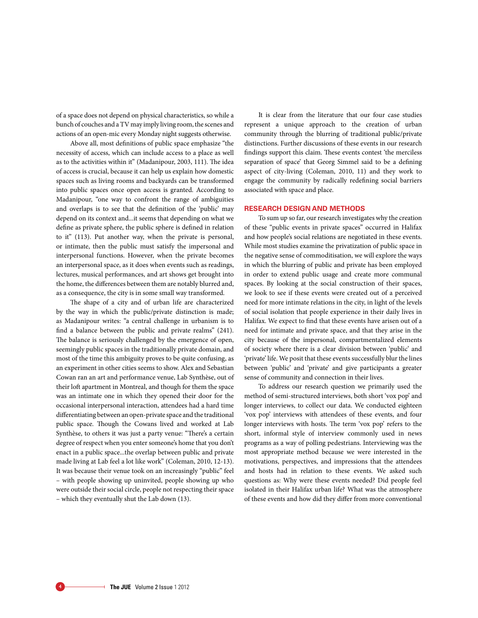of a space does not depend on physical characteristics, so while a bunch of couches and a TV may imply living room, the scenes and actions of an open-mic every Monday night suggests otherwise.

Above all, most definitions of public space emphasize "the necessity of access, which can include access to a place as well as to the activities within it" (Madanipour, 2003, 111). The idea of access is crucial, because it can help us explain how domestic spaces such as living rooms and backyards can be transformed into public spaces once open access is granted. According to Madanipour, "one way to confront the range of ambiguities and overlaps is to see that the definition of the 'public' may depend on its context and...it seems that depending on what we define as private sphere, the public sphere is defined in relation to it" (113). Put another way, when the private is personal, or intimate, then the public must satisfy the impersonal and interpersonal functions. However, when the private becomes an interpersonal space, as it does when events such as readings, lectures, musical performances, and art shows get brought into the home, the differences between them are notably blurred and, as a consequence, the city is in some small way transformed.

The shape of a city and of urban life are characterized by the way in which the public/private distinction is made; as Madanipour writes: "a central challenge in urbanism is to find a balance between the public and private realms" (241). The balance is seriously challenged by the emergence of open, seemingly public spaces in the traditionally private domain, and most of the time this ambiguity proves to be quite confusing, as an experiment in other cities seems to show. Alex and Sebastian Cowan ran an art and performance venue, Lab Synthèse, out of their loft apartment in Montreal, and though for them the space was an intimate one in which they opened their door for the occasional interpersonal interaction, attendees had a hard time differentiating between an open-private space and the traditional public space. Though the Cowans lived and worked at Lab Synthèse, to others it was just a party venue: "There's a certain degree of respect when you enter someone's home that you don't enact in a public space...the overlap between public and private made living at Lab feel a lot like work" (Coleman, 2010, 12-13). It was because their venue took on an increasingly "public" feel – with people showing up uninvited, people showing up who were outside their social circle, people not respecting their space – which they eventually shut the Lab down (13).

It is clear from the literature that our four case studies represent a unique approach to the creation of urban community through the blurring of traditional public/private distinctions. Further discussions of these events in our research findings support this claim. These events contest 'the merciless separation of space' that Georg Simmel said to be a defining aspect of city-living (Coleman, 2010, 11) and they work to engage the community by radically redefining social barriers associated with space and place.

### **Research Design and Methods**

To sum up so far, our research investigates why the creation of these "public events in private spaces" occurred in Halifax and how people's social relations are negotiated in these events. While most studies examine the privatization of public space in the negative sense of commoditisation, we will explore the ways in which the blurring of public and private has been employed in order to extend public usage and create more communal spaces. By looking at the social construction of their spaces, we look to see if these events were created out of a perceived need for more intimate relations in the city, in light of the levels of social isolation that people experience in their daily lives in Halifax. We expect to find that these events have arisen out of a need for intimate and private space, and that they arise in the city because of the impersonal, compartmentalized elements of society where there is a clear division between 'public' and 'private' life. We posit that these events successfully blur the lines between 'public' and 'private' and give participants a greater sense of community and connection in their lives.

To address our research question we primarily used the method of semi-structured interviews, both short 'vox pop' and longer interviews, to collect our data. We conducted eighteen 'vox pop' interviews with attendees of these events, and four longer interviews with hosts. The term 'vox pop' refers to the short, informal style of interview commonly used in news programs as a way of polling pedestrians. Interviewing was the most appropriate method because we were interested in the motivations, perspectives, and impressions that the attendees and hosts had in relation to these events. We asked such questions as: Why were these events needed? Did people feel isolated in their Halifax urban life? What was the atmosphere of these events and how did they differ from more conventional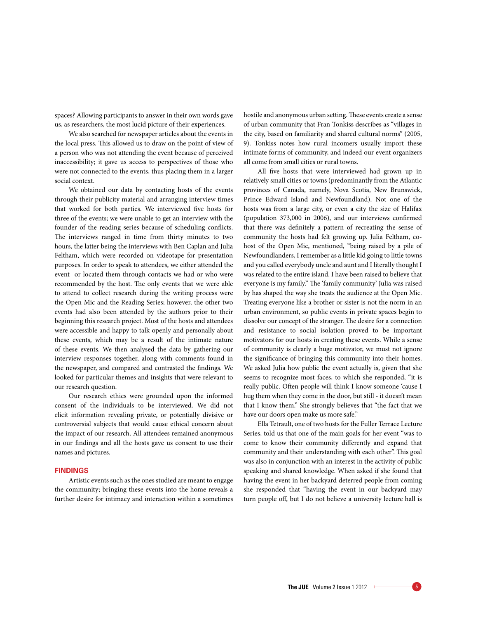spaces? Allowing participants to answer in their own words gave us, as researchers, the most lucid picture of their experiences.

We also searched for newspaper articles about the events in the local press. This allowed us to draw on the point of view of a person who was not attending the event because of perceived inaccessibility; it gave us access to perspectives of those who were not connected to the events, thus placing them in a larger social context.

We obtained our data by contacting hosts of the events through their publicity material and arranging interview times that worked for both parties. We interviewed five hosts for three of the events; we were unable to get an interview with the founder of the reading series because of scheduling conflicts. The interviews ranged in time from thirty minutes to two hours, the latter being the interviews with Ben Caplan and Julia Feltham, which were recorded on videotape for presentation purposes. In order to speak to attendees, we either attended the event or located them through contacts we had or who were recommended by the host. The only events that we were able to attend to collect research during the writing process were the Open Mic and the Reading Series; however, the other two events had also been attended by the authors prior to their beginning this research project. Most of the hosts and attendees were accessible and happy to talk openly and personally about these events, which may be a result of the intimate nature of these events. We then analysed the data by gathering our interview responses together, along with comments found in the newspaper, and compared and contrasted the findings. We looked for particular themes and insights that were relevant to our research question.

Our research ethics were grounded upon the informed consent of the individuals to be interviewed. We did not elicit information revealing private, or potentially divisive or controversial subjects that would cause ethical concern about the impact of our research. All attendees remained anonymous in our findings and all the hosts gave us consent to use their names and pictures.

### **Findings**

Artistic events such as the ones studied are meant to engage the community; bringing these events into the home reveals a further desire for intimacy and interaction within a sometimes hostile and anonymous urban setting. These events create a sense of urban community that Fran Tonkiss describes as "villages in the city, based on familiarity and shared cultural norms" (2005, 9). Tonkiss notes how rural incomers usually import these intimate forms of community, and indeed our event organizers all come from small cities or rural towns.

All five hosts that were interviewed had grown up in relatively small cities or towns (predominantly from the Atlantic provinces of Canada, namely, Nova Scotia, New Brunswick, Prince Edward Island and Newfoundland). Not one of the hosts was from a large city, or even a city the size of Halifax (population 373,000 in 2006), and our interviews confirmed that there was definitely a pattern of recreating the sense of community the hosts had felt growing up. Julia Feltham, cohost of the Open Mic, mentioned, "being raised by a pile of Newfoundlanders, I remember as a little kid going to little towns and you called everybody uncle and aunt and I literally thought I was related to the entire island. I have been raised to believe that everyone is my family." The 'family community' Julia was raised by has shaped the way she treats the audience at the Open Mic. Treating everyone like a brother or sister is not the norm in an urban environment, so public events in private spaces begin to dissolve our concept of the stranger. The desire for a connection and resistance to social isolation proved to be important motivators for our hosts in creating these events. While a sense of community is clearly a huge motivator, we must not ignore the significance of bringing this community into their homes. We asked Julia how public the event actually is, given that she seems to recognize most faces, to which she responded, "it is really public. Often people will think I know someone 'cause I hug them when they come in the door, but still - it doesn't mean that I know them." She strongly believes that "the fact that we have our doors open make us more safe."

Ella Tetrault, one of two hosts for the Fuller Terrace Lecture Series, told us that one of the main goals for her event "was to come to know their community differently and expand that community and their understanding with each other". This goal was also in conjunction with an interest in the activity of public speaking and shared knowledge. When asked if she found that having the event in her backyard deterred people from coming she responded that "having the event in our backyard may turn people off, but I do not believe a university lecture hall is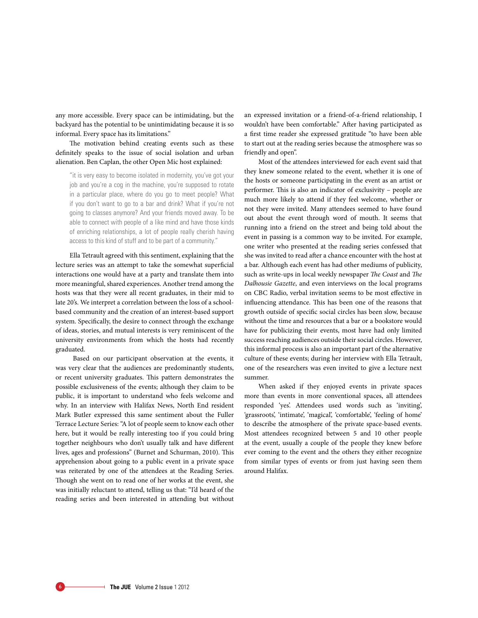any more accessible. Every space can be intimidating, but the backyard has the potential to be unintimidating because it is so informal. Every space has its limitations."

The motivation behind creating events such as these definitely speaks to the issue of social isolation and urban alienation. Ben Caplan, the other Open Mic host explained:

"it is very easy to become isolated in modernity, you've got your job and you're a cog in the machine, you're supposed to rotate in a particular place, where do you go to meet people? What if you don't want to go to a bar and drink? What if you're not going to classes anymore? And your friends moved away. To be able to connect with people of a like mind and have those kinds of enriching relationships, a lot of people really cherish having access to this kind of stuff and to be part of a community."

Ella Tetrault agreed with this sentiment, explaining that the lecture series was an attempt to take the somewhat superficial interactions one would have at a party and translate them into more meaningful, shared experiences. Another trend among the hosts was that they were all recent graduates, in their mid to late 20's. We interpret a correlation between the loss of a schoolbased community and the creation of an interest-based support system. Specifically, the desire to connect through the exchange of ideas, stories, and mutual interests is very reminiscent of the university environments from which the hosts had recently graduated.

 Based on our participant observation at the events, it was very clear that the audiences are predominantly students, or recent university graduates. This pattern demonstrates the possible exclusiveness of the events; although they claim to be public, it is important to understand who feels welcome and why. In an interview with Halifax News, North End resident Mark Butler expressed this same sentiment about the Fuller Terrace Lecture Series: "A lot of people seem to know each other here, but it would be really interesting too if you could bring together neighbours who don't usually talk and have different lives, ages and professions" (Burnet and Schurman, 2010). This apprehension about going to a public event in a private space was reiterated by one of the attendees at the Reading Series. Though she went on to read one of her works at the event, she was initially reluctant to attend, telling us that: "I'd heard of the reading series and been interested in attending but without an expressed invitation or a friend-of-a-friend relationship, I wouldn't have been comfortable." After having participated as a first time reader she expressed gratitude "to have been able to start out at the reading series because the atmosphere was so friendly and open".

Most of the attendees interviewed for each event said that they knew someone related to the event, whether it is one of the hosts or someone participating in the event as an artist or performer. This is also an indicator of exclusivity – people are much more likely to attend if they feel welcome, whether or not they were invited. Many attendees seemed to have found out about the event through word of mouth. It seems that running into a friend on the street and being told about the event in passing is a common way to be invited. For example, one writer who presented at the reading series confessed that she was invited to read after a chance encounter with the host at a bar. Although each event has had other mediums of publicity, such as write-ups in local weekly newspaper *The Coast* and *The Dalhousie Gazette*, and even interviews on the local programs on CBC Radio, verbal invitation seems to be most effective in influencing attendance. This has been one of the reasons that growth outside of specific social circles has been slow, because without the time and resources that a bar or a bookstore would have for publicizing their events, most have had only limited success reaching audiences outside their social circles. However, this informal process is also an important part of the alternative culture of these events; during her interview with Ella Tetrault, one of the researchers was even invited to give a lecture next summer.

When asked if they enjoyed events in private spaces more than events in more conventional spaces, all attendees responded 'yes'. Attendees used words such as 'inviting', 'grassroots', 'intimate', 'magical', 'comfortable', 'feeling of home' to describe the atmosphere of the private space-based events. Most attendees recognized between 5 and 10 other people at the event, usually a couple of the people they knew before ever coming to the event and the others they either recognize from similar types of events or from just having seen them around Halifax.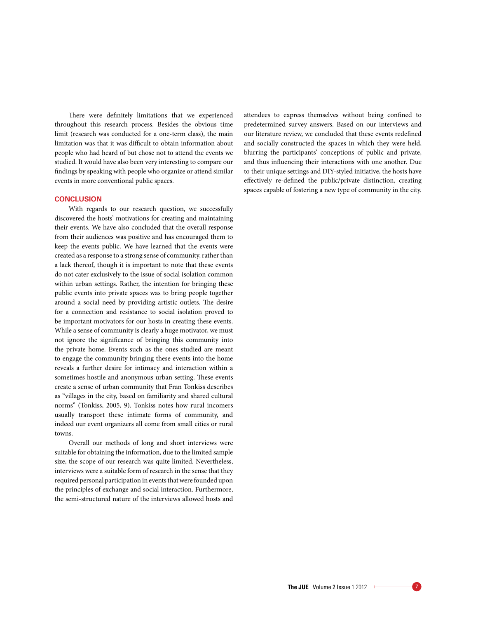There were definitely limitations that we experienced throughout this research process. Besides the obvious time limit (research was conducted for a one-term class), the main limitation was that it was difficult to obtain information about people who had heard of but chose not to attend the events we studied. It would have also been very interesting to compare our findings by speaking with people who organize or attend similar events in more conventional public spaces.

#### **Conclusion**

With regards to our research question, we successfully discovered the hosts' motivations for creating and maintaining their events. We have also concluded that the overall response from their audiences was positive and has encouraged them to keep the events public. We have learned that the events were created as a response to a strong sense of community, rather than a lack thereof, though it is important to note that these events do not cater exclusively to the issue of social isolation common within urban settings. Rather, the intention for bringing these public events into private spaces was to bring people together around a social need by providing artistic outlets. The desire for a connection and resistance to social isolation proved to be important motivators for our hosts in creating these events. While a sense of community is clearly a huge motivator, we must not ignore the significance of bringing this community into the private home. Events such as the ones studied are meant to engage the community bringing these events into the home reveals a further desire for intimacy and interaction within a sometimes hostile and anonymous urban setting. These events create a sense of urban community that Fran Tonkiss describes as "villages in the city, based on familiarity and shared cultural norms" (Tonkiss, 2005, 9). Tonkiss notes how rural incomers usually transport these intimate forms of community, and indeed our event organizers all come from small cities or rural towns.

Overall our methods of long and short interviews were suitable for obtaining the information, due to the limited sample size, the scope of our research was quite limited. Nevertheless, interviews were a suitable form of research in the sense that they required personal participation in events that were founded upon the principles of exchange and social interaction. Furthermore, the semi-structured nature of the interviews allowed hosts and attendees to express themselves without being confined to predetermined survey answers. Based on our interviews and our literature review, we concluded that these events redefined and socially constructed the spaces in which they were held, blurring the participants' conceptions of public and private, and thus influencing their interactions with one another. Due to their unique settings and DIY-styled initiative, the hosts have effectively re-defined the public/private distinction, creating spaces capable of fostering a new type of community in the city.